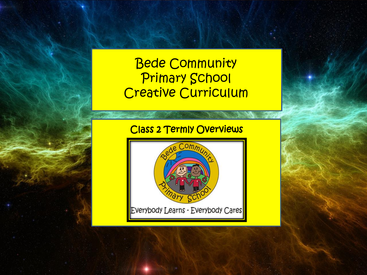# Bede Community Primary School Creative Curriculum

# Class 2 Termly Overviews

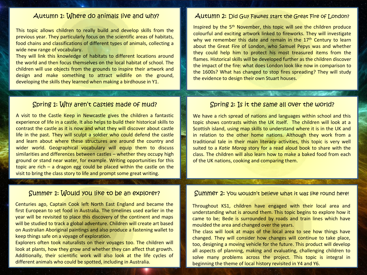This topic allows children to really build and develop skills from the previous year. They particularly focus on the scientific areas of habitats, food chains and classifications of different types of animals, collecting a wide new range of vocabulary.

They will link this knowledge of habitats to different locations around the world and then focus themselves on the local habitat of school. The children will use objects from the grounds to inspire their artwork and design and make something to attract wildlife on the ground, developing the skills they learned when making a birdhouse in Y1.

### Autumn 1: Where do animals live and why? Autumn 2: Did Guy Fawkes start the Great Fire of London?

Inspired by the 5<sup>th</sup> November, this topic will see the children produce colourful and exciting artwork linked to fireworks. They will investigate why we remember this date and remain in the 17<sup>th</sup> Century to learn about the Great Fire of London, who Samuel Pepys was and whether they could help him to protect his most treasured items from the flames. Historical skills will be developed further as the children discover the impact of the fire: what does London look like now in comparison to the 1600s? What has changed to stop fires spreading? They will study the evidence to design their own Stuart houses.

### Spring 1: Why aren't castles made of mud? Spring 2: Is it the same all over the world?

A visit to the Castle Keep in Newcastle gives the children a fantastic experience of life in a castle. It also helps to build their historical skills to contrast the castle as it is now and what they will discover about castle life in the past. They will sculpt a soldier who could defend the castle and learn about where these structures are around the country and wider world. Geographical vocabulary will equip them to discuss similarities and differences between castles – whether they occupy high ground or stand near water, for example. Writing opportunities for this topic are rich – a dragon egg could be placed within the castle on the visit to bring the class story to life and prompt some great writing.

Centuries ago, Captain Cook left North East England and became the first European to set food in Australia. The timelines used earlier in the year will be revisited to place this discovery of the continent and maps will be studied to track a global adventure. Children will create art based on Australian Aboriginal paintings and also produce a fastening wallet to keep things safe on a voyage of exploration.

Explorers often took naturalists on their voyages too. The children will look at plants, how they grow and whether they can affect that growth. Additionally, their scientific work will also look at the life cycles of different animals who could be spotted, including in Australia.

We have a rich spread of nations and languages within school and this topic shows contrasts within the UK itself. The children will look at a Scottish island, using map skills to understand where it is in the UK and in relation to the other home nations. Although they work from a traditional tale in their main literacy activities, this topic is very well suited to a *Katie Morag* story for a read aloud book to share with the class. The children will also learn how to make a baked food from each of the UK nations, cooking and comparing them.

### Summer 1: Would you like to be an explorer? Summer 2: You wouldn't believe what it was like round here!

Throughout KS1, children have engaged with their local area and understanding what is around them. This topic begins to explore how it came to be; Bede is surrounded by roads and train lines which have moulded the area and changed over the years.

The class will look at maps of the local area to see how things have changed. They will consider how changes will continue to take place, too, designing a moving vehicle for the future. This product will develop all aspects of planning, making and evaluating, challenging children to solve many problems across the project. This topic is integral in beginning the theme of local history revisited in Y4 and Y6.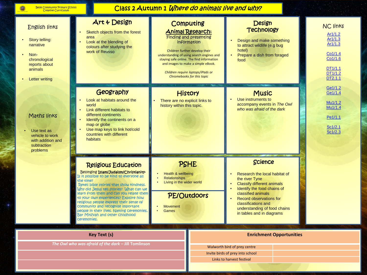Ō

2 L

## Class 2 Autumn 1 Where do animals live and why?

| <b>English links</b><br>Story telling:<br>narrative<br>Non-<br>chronological<br>reports about<br>animals<br><b>Letter writing</b> | Art & Design<br>Sketch objects from the forest<br>area<br>Look at the blending of<br>colours after studying the<br>work of Reusso                                                                                                                                                                                                                                                                                                                                                      | Computing<br><b>Animal Research:</b><br>Finding and presenting<br>information<br>Children further develop their<br>understanding of using search engines and<br>staying safe online. The find information<br>and images to make a simple eBook.<br>Children require laptops/iPads or<br>Chromebooks for this topic | <b>Design</b><br><b>Technology</b><br>Design and make something<br>to attract wildlife (e.g bug<br>hotel)<br>Prepare a dish from foraged<br>food                                                                                                                                  | <b>NC links</b><br>Ar1/1.2<br>Ar1/1.3<br>Ar1/1.3<br>Co1/1.4<br>Co1/1.6<br>DT1/1.1<br>DT1/1.2<br>DT2.1.1<br>Ge1/1.2<br>Ge1/1.4<br>Mu1/1.2<br>Mu1/1.4<br>Pe1/1.1<br>Sc1/2.1<br>Sc1/2.3 |  |
|-----------------------------------------------------------------------------------------------------------------------------------|----------------------------------------------------------------------------------------------------------------------------------------------------------------------------------------------------------------------------------------------------------------------------------------------------------------------------------------------------------------------------------------------------------------------------------------------------------------------------------------|--------------------------------------------------------------------------------------------------------------------------------------------------------------------------------------------------------------------------------------------------------------------------------------------------------------------|-----------------------------------------------------------------------------------------------------------------------------------------------------------------------------------------------------------------------------------------------------------------------------------|--------------------------------------------------------------------------------------------------------------------------------------------------------------------------------------|--|
| Maths links<br>Use text as<br>vehicle to work<br>with addition and<br>subtraction<br>problems                                     | Geography<br>Look at habitats around the<br>world<br>Link different habitats to<br>different continents<br>Identify the continents on a<br>$\bullet$<br>map or globe<br>Use map keys to link hot/cold<br>countries with different<br>habitats                                                                                                                                                                                                                                          | <b>History</b><br>There are no explicit links to<br>history within this topic.                                                                                                                                                                                                                                     | <b>Music</b><br>Use instruments to<br>accompany events in The Owl<br>who was afraid of the dark                                                                                                                                                                                   |                                                                                                                                                                                      |  |
|                                                                                                                                   | <b>Religious Education</b><br>Belonging Islam/Judaism/Christianity-<br>Is it possible to be kind to everyone all<br>the time?<br>Retell bible stories that show kindness.<br>Why did Jesus tell stories? What Can we<br>learn from them and Can you relate them<br>to your own experiences? Explore how<br>religious people express their sense of<br>community and recognise important<br>people in their lives. Naming ceremonies,<br>Bar Mitzvah and other childhood<br>Ceremonies. | PSHE<br>Health & wellbeing<br><b>Relationships</b><br>Living in the wider world<br>PE/Outdoors<br><b>Movement</b><br>Games                                                                                                                                                                                         | <b>Science</b><br>Research the local habitat of<br>the river Tyne<br><b>Classify different animals</b><br>Identify the food chains of<br>classified animals<br><b>Record observations for</b><br>classifications and<br>understanding of food chains<br>in tables and in diagrams |                                                                                                                                                                                      |  |
|                                                                                                                                   | <b>Key Text (s)</b><br><b>Enrichment Opportunities</b>                                                                                                                                                                                                                                                                                                                                                                                                                                 |                                                                                                                                                                                                                                                                                                                    |                                                                                                                                                                                                                                                                                   |                                                                                                                                                                                      |  |

Walworth bird of prey centre Invite birds of prey into school Links to harvest festival

*The Owl who was afraid of the dark –* **Jill Tomlinson**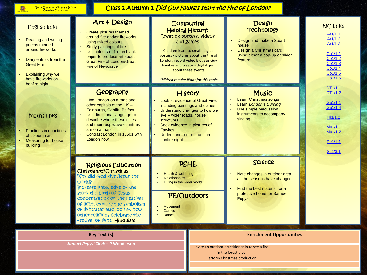**@** 

 $\mathcal{F}_{\mathcal{F}}$ 

٠

Class 2 Autumn 2 Did Guy Fawkes start the Fire of London?

| <b>English links</b><br><b>Reading and writing</b><br>poems themed<br>around fireworks<br>Diary entries from the<br><b>Great Fire</b><br>Explaining why we<br>have fireworks on<br>bonfire night | Art & Design<br>Create pictures themed<br>around fire and/or fireworks<br>using mixed colours<br>Study paintings of fire<br>Use colours of fire on black<br>paper to produce art about<br><b>Great Fire of London/Great</b><br><b>Fire of Newcastle</b>                                                                     | <b>Computing</b><br><b>Helping History:</b><br><b>Creating posters, videos</b><br>and games<br>Children learn to create digital<br>posters / pictures about the Fire of<br>London, record video Blogs as Guy<br>Fawkes and create a digital quiz<br>about these events<br>Children require iPads for this topic | <b>Design</b><br><b>Technology</b><br>Design and make a Stuart<br>house<br>Design a Christmas card<br>using either a pop-up or slider<br>feature                  | <b>NC links</b><br>Ar1/1.1<br>Ar1/1.2<br>Ar1/1.3<br>Co1/1.1<br>Co1/1.2<br>Co1/1.3<br>Co1/1.4<br>Co1/1.5<br>Co1/1.6 |  |
|--------------------------------------------------------------------------------------------------------------------------------------------------------------------------------------------------|-----------------------------------------------------------------------------------------------------------------------------------------------------------------------------------------------------------------------------------------------------------------------------------------------------------------------------|-----------------------------------------------------------------------------------------------------------------------------------------------------------------------------------------------------------------------------------------------------------------------------------------------------------------|-------------------------------------------------------------------------------------------------------------------------------------------------------------------|--------------------------------------------------------------------------------------------------------------------|--|
| Maths links<br><b>Fractions in quantities</b><br>of colour in art<br><b>Measuring for house</b><br>building                                                                                      | Geography<br>Find London on a map and<br>other capitals of the UK -<br>Edinburgh, Cardiff, Belfast<br>Use directional language to<br>describe where these cities<br>and their respective countries<br>are on a map<br>Contrast London in 1650s with<br>London now                                                           | <b>History</b><br>Look at evidence of Great Fire,<br>including paintings and diaries<br>Understand changes to how we<br>live - wider roads, house<br><b>structures</b><br>Seek evidence in pictures of<br><b>Fawkes</b><br>Understand root of tradition -<br>bonfire night                                      | <b>Music</b><br><b>Learn Christmas songs</b><br>$\bullet$<br>Learn London's Burning<br>Use simple percussion<br>$\bullet$<br>instruments to accompany<br>singing  | DT1/1.1<br>DT1/1.2<br>Ge1/1.1<br>Ge1/1.4<br>Hi1/1.2<br>Mu1/1.1<br>Mu1/1.2<br>Pe1/1.1<br>Sc1/3.1                    |  |
|                                                                                                                                                                                                  | <b>Religious Education</b><br>Christianity/Christmas<br>Why did God give Jesus the<br>world?<br>Increase knowledge of the<br>story the birth of Jesus<br>concentrating on the Festival<br>of light, explore the symbolism<br>of light/star also look at how<br>other religions celebrate the<br>Festival of light- Hinduism | <b>PSHE</b><br>Health & wellbeing<br><b>Relationships</b><br>Living in the wider world<br><b>PE/Outdoors</b><br><b>Movement</b><br><b>Games</b><br><b>Dance</b>                                                                                                                                                 | Science<br>Note changes in outdoor area<br>$\bullet$<br>as the seasons have changed<br>Find the best material for a<br>protective home for Samuel<br><b>Pepys</b> |                                                                                                                    |  |
|                                                                                                                                                                                                  | <b>Key Text (s)</b><br><b>Enrichment Opportunities</b>                                                                                                                                                                                                                                                                      |                                                                                                                                                                                                                                                                                                                 |                                                                                                                                                                   |                                                                                                                    |  |

Invite an outdoor practitioner in to see a fire in the forest area Perform Christmas production

*Samuel Pepys' Clerk –* **P Wooderson**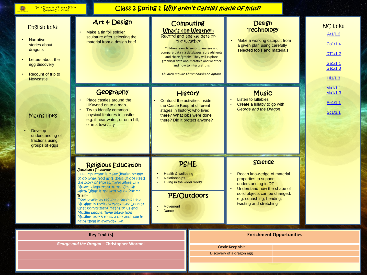$\bullet$ 

37

# Class 2 Spring 1 Why aren't castles made of mud?

| <b>English links</b><br>Narrative -<br>stories about<br>dragons<br>Letters about the<br>egg discovery<br>Recount of trip to<br><b>Newcastle</b> | Art & Design<br>Make a tin foil soldier<br>sculpture after selecting the<br>material from a design brief                                                                                                                                                                                                                                                                                                                                                                                          | <b>Computing</b><br>What's the Weather:<br>Record and analyse data on<br>the weather                                                                                            | Children learn to record, analyse and<br>compare data via databases, spreadsheets<br>and charts/graphs. They will explore<br>graphical data about castles and weather<br>and how to interpret this<br>Children require Chromebooks or laptops | <b>Design</b><br><b>Technology</b><br>Make a working catapult from<br>a given plan using carefully<br>selected tools and materials                                                                                   |  | <b>NC links</b><br>Ar1/1.2<br>Co1/1.4<br>DT1/1.2<br>Ge1/1.1<br>Ge1/1.3<br>Hi1/1.3 |  |
|-------------------------------------------------------------------------------------------------------------------------------------------------|---------------------------------------------------------------------------------------------------------------------------------------------------------------------------------------------------------------------------------------------------------------------------------------------------------------------------------------------------------------------------------------------------------------------------------------------------------------------------------------------------|---------------------------------------------------------------------------------------------------------------------------------------------------------------------------------|-----------------------------------------------------------------------------------------------------------------------------------------------------------------------------------------------------------------------------------------------|----------------------------------------------------------------------------------------------------------------------------------------------------------------------------------------------------------------------|--|-----------------------------------------------------------------------------------|--|
| Maths links<br><b>Develop</b><br>understanding of<br>fractions using<br>groups of eggs                                                          | Geography<br>Place castles around the<br>UK/world on to a map<br>Try to identify common<br>$\bullet$<br>physical features in castles:<br>e.g. if near water, or on a hill,<br>or in a town/city                                                                                                                                                                                                                                                                                                   | <b>History</b><br>Contrast the activities inside<br>the Castle Keep at different<br>stages in history: who lived<br>there? What jobs were done<br>there? Did it protect anyone? |                                                                                                                                                                                                                                               | <b>Music</b><br><b>Listen to Iullabies</b><br>Create a lullaby to go with<br>George and the Dragon                                                                                                                   |  | Mu1/1.1<br>Mu1/1.3<br>Pe1/1.1<br>Sc1/3.1                                          |  |
|                                                                                                                                                 | <b>Religious Education</b><br>Judaism: Passover-<br>How important is it for Jewish people<br>to do what God asks them to do? Read<br>the story of Moses. Investigate why<br>Moses is important to the Jewish<br>Faith? What is the festival of Purim?<br>Islam-<br>Does prayer at regular intervals help<br>Muslims in their everyday life? Look at<br>what commitment means to us and<br>Muslim people. Investigate how<br>Muslims pray 5 times a day and how it<br>helps them in everyday life. | PSHE<br>Health & wellbeing<br><b>Relationships</b><br>Living in the wider world<br><b>PE/Outdoors</b><br><b>Movement</b><br>Dance<br>$\bullet$                                  |                                                                                                                                                                                                                                               | <b>Science</b><br>Recap knowledge of material<br>properties to support<br>understanding in DT<br>Understand how the shape of<br>solid objects can be changed:<br>e.g. squashing, bending,<br>twisting and stretching |  |                                                                                   |  |
|                                                                                                                                                 | <b>Key Text (s)</b>                                                                                                                                                                                                                                                                                                                                                                                                                                                                               |                                                                                                                                                                                 |                                                                                                                                                                                                                                               | <b>Enrichment Opportunities</b>                                                                                                                                                                                      |  |                                                                                   |  |
|                                                                                                                                                 | George and the Dragon - Christopher Wormell                                                                                                                                                                                                                                                                                                                                                                                                                                                       |                                                                                                                                                                                 | Castle Keep visit                                                                                                                                                                                                                             |                                                                                                                                                                                                                      |  |                                                                                   |  |

Discovery of a dragon egg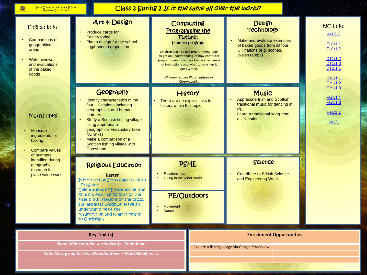Ó

2 L

## Class 2 Spring 2 Is it the same all over the world?

| <b>English links</b><br>Comparisons of<br>geographical<br>areas<br><b>Write reviews</b><br>and evaluations<br>of the baked<br>goods                                                  | Art & Design<br>Produce cards for<br>Easter/spring<br>Plan a design for the school<br>egg/bonnet competition                                                                                                                                                                                                          | Computing<br><b>Programming the</b><br><b>Future:</b><br>How to program<br>Children learn to use programming apps<br>to get an understanding of how computer<br>programs run, how they follow a sequence<br>of instructions and what to do when it<br>goes wrong.<br>Children require iPads, laptops or<br><b>Chromebooks</b> | <b>Design</b><br><b>Technology</b><br>Make and evaluate examples<br>of baked goods from all four<br>UK nations (e.g. scones,<br><b>Welsh rarebit)</b> | <b>NC links</b><br>Ar1/1.1<br>Co1/1.1<br>Co1/1.2<br>DT1/1.2<br>DT1/1.3<br>DT2.1.1<br>Ge1/1.1<br>Ge1/1.2 |  |
|--------------------------------------------------------------------------------------------------------------------------------------------------------------------------------------|-----------------------------------------------------------------------------------------------------------------------------------------------------------------------------------------------------------------------------------------------------------------------------------------------------------------------|-------------------------------------------------------------------------------------------------------------------------------------------------------------------------------------------------------------------------------------------------------------------------------------------------------------------------------|-------------------------------------------------------------------------------------------------------------------------------------------------------|---------------------------------------------------------------------------------------------------------|--|
| Maths links<br><b>Measure</b><br>ingredients for<br>baking<br><b>Compare values</b><br>$\bullet$<br>of numbers<br>identified during<br>geography<br>research for<br>place value work | Geography<br>Identify characteristics of the<br>four UK nations including<br>geographical and human<br>features<br>Study a Scottish fishing village<br>using appropriate<br>geographical vocabulary (see<br><b>NC links)</b><br>Make a comparison of a<br>Scottish fishing village with<br>Gateshead                  | <b>History</b><br>There are no explicit links to<br>history within this topic.                                                                                                                                                                                                                                                | <b>Music</b><br>Appreciate Irish and Scottish<br>traditional music for dancing in<br><b>PE</b><br>Learn a traditional song from<br>a UK nation        | Ge1/1.3<br>Mu1/1.1<br>Mu1/1.3<br>Pe1/1.1<br>Sc2/1                                                       |  |
|                                                                                                                                                                                      | <b>Religious Education</b><br>Easter<br>Is it true that Jesus came back to<br>life again?<br>Celebrations of Easter within the<br>church, examine colours of the<br>alter Cloth, stations of the Cross,<br>stained glass windows. Have an<br>understanding of the<br>resurrection and what it means<br>to Christians. | <b>PSHE</b><br><b>Relationships</b><br>Living in the wider world<br><b>PE/Outdoors</b><br><b>Movement</b><br><b>Dance</b>                                                                                                                                                                                                     | Science<br><b>Contribute to British Science</b><br>and Engineering Week                                                                               |                                                                                                         |  |
|                                                                                                                                                                                      | <b>Key Text (s)</b>                                                                                                                                                                                                                                                                                                   |                                                                                                                                                                                                                                                                                                                               | <b>Enrichment Opportunities</b>                                                                                                                       |                                                                                                         |  |

**Enrichment Opportunities**

Explore a fishing village via Google Streetview

*Snow White and the seven dwarfs–* **Traditional** *Katie Morag and the Two Grandmothers –* **Mairi Hedderwick**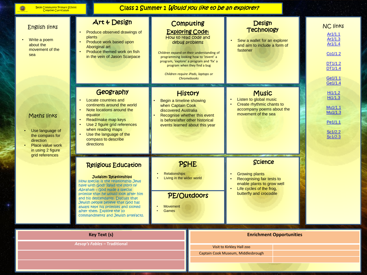Q

ŗ,

*Aesop's Fables –* **Traditional**

Class 2 Summer 1 *Would you like to be an explorer?* 

| <b>English links</b><br>Write a poem<br>about the<br>movement of the<br>sea<br>Maths links<br>Use language of<br>the compass for<br>direction<br>Place value work<br>in using 2 figure<br>grid references | Art & Design<br>Produce observed drawings of<br>plants<br>Produce work based upon<br>Aboriginal art<br>Produce themed work on fish<br>in the vein of Jason Scarpace                                                                                                                                                                                                                                    | <b>Computing</b><br><b>Exploring Code:</b><br>How to read code and<br>debug problems<br>Children expand on their understanding of<br>programming looking how to 'invent' a<br>program, 'explore' a program and 'fix' a<br>program when they find a bug<br>Children require iPads, laptops or<br><b>Chromebooks</b> | <b>Design</b><br><b>Technology</b><br>Sew a wallet for an explorer<br>and aim to include a form of<br>fastener                                     |                                                                           |  |
|-----------------------------------------------------------------------------------------------------------------------------------------------------------------------------------------------------------|--------------------------------------------------------------------------------------------------------------------------------------------------------------------------------------------------------------------------------------------------------------------------------------------------------------------------------------------------------------------------------------------------------|--------------------------------------------------------------------------------------------------------------------------------------------------------------------------------------------------------------------------------------------------------------------------------------------------------------------|----------------------------------------------------------------------------------------------------------------------------------------------------|---------------------------------------------------------------------------|--|
|                                                                                                                                                                                                           | Geography<br>Locate countries and<br>$\bullet$<br>continents around the world<br>Note locations around the<br>equator<br>Read/make map keys<br>Use 2 figure grid references<br>$\bullet$<br>when reading maps<br>Use the language of the<br>compass to describe<br>directions                                                                                                                          | <b>History</b><br>Begin a timeline showing<br>when Captain Cook<br>discovered Australia<br>Recognise whether this event<br>is before/after other historical<br>events learned about this year                                                                                                                      | <b>Music</b><br>Listen to global music<br>Create rhythmic chants to<br>accompany poems about the<br>movement of the sea                            | Hi1/1.2<br>Hi1/1.3<br>Mu1/1.1<br>Mu1/1.3<br>Pe1/1.1<br>Sc1/2.2<br>Sc1/2.3 |  |
|                                                                                                                                                                                                           | <b>Religious Education</b><br>Judaism: Relationships<br>How special is the relationship Jews<br>have with God? Read the story of<br>$\Delta$ braham – God made a special<br>promise that he would look after him<br>and his descendants. Discuss that<br>Jewish people believe that God has<br>always kept his promises and looked<br>after them. Explore the 10<br>commandments and Jewish artefacts. | <b>PSHE</b><br><b>Relationships</b><br>Living in the wider world<br>PE/Outdoors<br><b>Movement</b><br><b>Games</b>                                                                                                                                                                                                 | Science<br><b>Growing plants</b><br>Recognising fair tests to<br>enable plants to grow well<br>Life cycles of the frog,<br>butterfly and crocodile |                                                                           |  |
|                                                                                                                                                                                                           | <b>Key Text (s)</b>                                                                                                                                                                                                                                                                                                                                                                                    |                                                                                                                                                                                                                                                                                                                    | <b>Enrichment Opportunities</b>                                                                                                                    |                                                                           |  |

**Enrichment Opportunities**

Visit to Kirkley Hall zoo

Captain Cook Museum, Middlesbrough